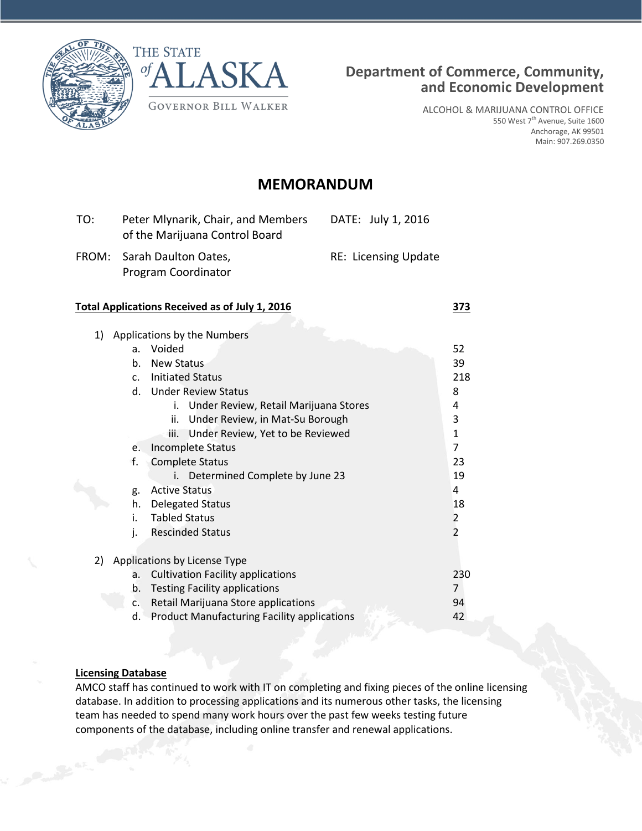



ALCOHOL & MARIJUANA CONTROL OFFICE 550 West 7<sup>th</sup> Avenue, Suite 1600 Anchorage, AK 99501 Main: 907.269.0350

# **MEMORANDUM**

| TO: | Peter Mlynarik, Chair, and Members<br>of the Marijuana Control Board | DATE: July 1, 2016          |
|-----|----------------------------------------------------------------------|-----------------------------|
|     | FROM: Sarah Daulton Oates,<br>Program Coordinator                    | <b>RE: Licensing Update</b> |

#### **Total Applications Received as of July 1, 2016 373**

| 1) |                | Applications by the Numbers                        |                |
|----|----------------|----------------------------------------------------|----------------|
|    | a.             | Voided                                             | 52             |
|    | b.             | <b>New Status</b>                                  | 39             |
|    | C <sub>1</sub> | <b>Initiated Status</b>                            | 218            |
|    | d.             | <b>Under Review Status</b>                         | 8              |
|    |                | i.<br>Under Review, Retail Marijuana Stores        | 4              |
|    |                | ii.<br>Under Review, in Mat-Su Borough             | 3              |
|    |                | Under Review, Yet to be Reviewed<br>iii.           | $\mathbf{1}$   |
|    | e.             | Incomplete Status                                  | 7              |
|    | f.             | <b>Complete Status</b>                             | 23             |
|    |                | Determined Complete by June 23<br>i.               | 19             |
|    | g.             | <b>Active Status</b>                               | 4              |
|    | h.             | <b>Delegated Status</b>                            | 18             |
|    | i.             | <b>Tabled Status</b>                               | 2              |
|    | j.             | <b>Rescinded Status</b>                            | $\overline{2}$ |
|    |                |                                                    |                |
| 2) |                | Applications by License Type                       |                |
|    | a.             | <b>Cultivation Facility applications</b>           | 230            |
|    | b.             | <b>Testing Facility applications</b>               | 7              |
|    | c.             | Retail Marijuana Store applications                | 94             |
|    | d.             | <b>Product Manufacturing Facility applications</b> | 42             |

# **Licensing Database**

AMCO staff has continued to work with IT on completing and fixing pieces of the online licensing database. In addition to processing applications and its numerous other tasks, the licensing team has needed to spend many work hours over the past few weeks testing future components of the database, including online transfer and renewal applications.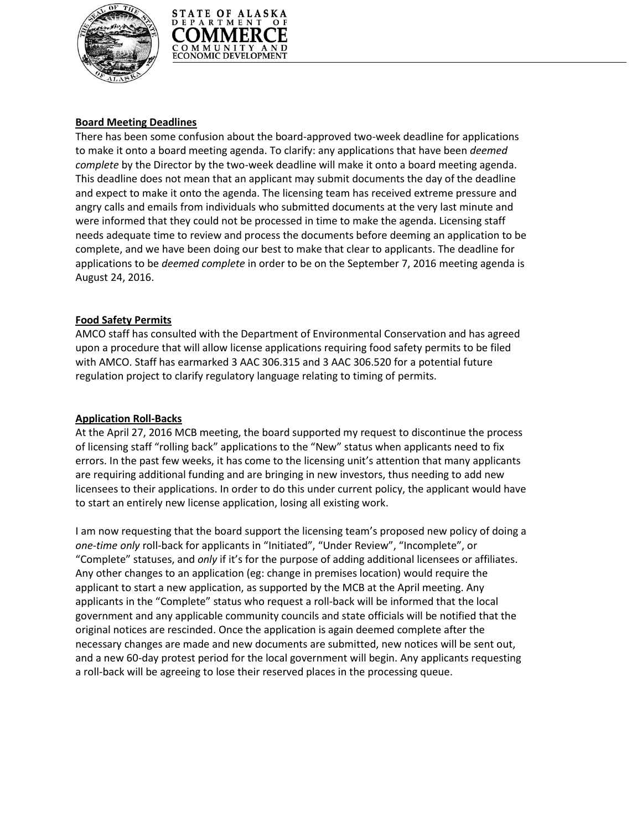



# **Board Meeting Deadlines**

There has been some confusion about the board-approved two-week deadline for applications to make it onto a board meeting agenda. To clarify: any applications that have been *deemed complete* by the Director by the two-week deadline will make it onto a board meeting agenda. This deadline does not mean that an applicant may submit documents the day of the deadline and expect to make it onto the agenda. The licensing team has received extreme pressure and angry calls and emails from individuals who submitted documents at the very last minute and were informed that they could not be processed in time to make the agenda. Licensing staff needs adequate time to review and process the documents before deeming an application to be complete, and we have been doing our best to make that clear to applicants. The deadline for applications to be *deemed complete* in order to be on the September 7, 2016 meeting agenda is August 24, 2016.

# **Food Safety Permits**

AMCO staff has consulted with the Department of Environmental Conservation and has agreed upon a procedure that will allow license applications requiring food safety permits to be filed with AMCO. Staff has earmarked 3 AAC 306.315 and 3 AAC 306.520 for a potential future regulation project to clarify regulatory language relating to timing of permits.

#### **Application Roll-Backs**

At the April 27, 2016 MCB meeting, the board supported my request to discontinue the process of licensing staff "rolling back" applications to the "New" status when applicants need to fix errors. In the past few weeks, it has come to the licensing unit's attention that many applicants are requiring additional funding and are bringing in new investors, thus needing to add new licensees to their applications. In order to do this under current policy, the applicant would have to start an entirely new license application, losing all existing work.

I am now requesting that the board support the licensing team's proposed new policy of doing a *one-time only* roll-back for applicants in "Initiated", "Under Review", "Incomplete", or "Complete" statuses, and *only* if it's for the purpose of adding additional licensees or affiliates. Any other changes to an application (eg: change in premises location) would require the applicant to start a new application, as supported by the MCB at the April meeting. Any applicants in the "Complete" status who request a roll-back will be informed that the local government and any applicable community councils and state officials will be notified that the original notices are rescinded. Once the application is again deemed complete after the necessary changes are made and new documents are submitted, new notices will be sent out, and a new 60-day protest period for the local government will begin. Any applicants requesting a roll-back will be agreeing to lose their reserved places in the processing queue.